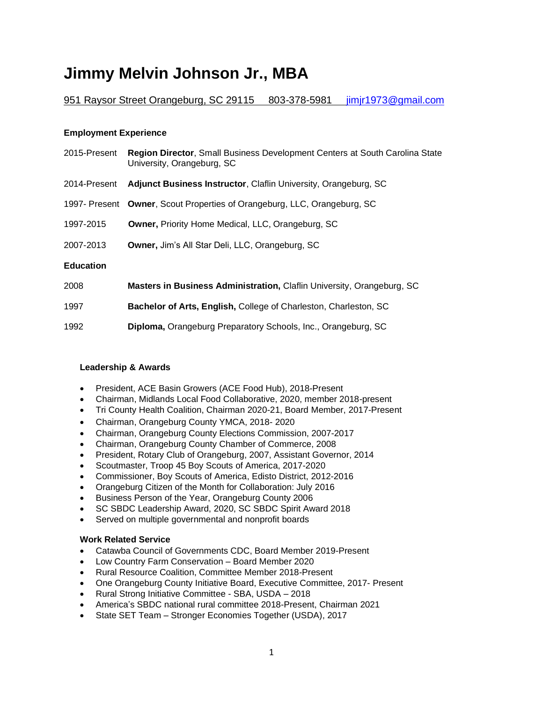# **Jimmy Melvin Johnson Jr., MBA**

# 951 Raysor Street Orangeburg, SC 29115 803-378-5981 [jimjr1973@gmail.com](mailto:jimjr1973@gmail.com)

#### **Employment Experience**

| 2015-Present     | Region Director, Small Business Development Centers at South Carolina State<br>University, Orangeburg, SC |
|------------------|-----------------------------------------------------------------------------------------------------------|
| 2014-Present     | <b>Adjunct Business Instructor, Claflin University, Orangeburg, SC</b>                                    |
|                  | 1997- Present Owner, Scout Properties of Orangeburg, LLC, Orangeburg, SC                                  |
| 1997-2015        | <b>Owner, Priority Home Medical, LLC, Orangeburg, SC</b>                                                  |
| 2007-2013        | <b>Owner, Jim's All Star Deli, LLC, Orangeburg, SC</b>                                                    |
| <b>Education</b> |                                                                                                           |
| 2008             | Masters in Business Administration, Claflin University, Orangeburg, SC                                    |

1997 **Bachelor of Arts, English,** College of Charleston, Charleston, SC

1992 **Diploma,** Orangeburg Preparatory Schools, Inc., Orangeburg, SC

#### **Leadership & Awards**

- President, ACE Basin Growers (ACE Food Hub), 2018-Present
- Chairman, Midlands Local Food Collaborative, 2020, member 2018-present
- Tri County Health Coalition, Chairman 2020-21, Board Member, 2017-Present
- Chairman, Orangeburg County YMCA, 2018- 2020
- Chairman, Orangeburg County Elections Commission, 2007-2017
- Chairman, Orangeburg County Chamber of Commerce, 2008
- President, Rotary Club of Orangeburg, 2007, Assistant Governor, 2014
- Scoutmaster, Troop 45 Boy Scouts of America, 2017-2020
- Commissioner, Boy Scouts of America, Edisto District, 2012-2016
- Orangeburg Citizen of the Month for Collaboration: July 2016
- Business Person of the Year, Orangeburg County 2006
- SC SBDC Leadership Award, 2020, SC SBDC Spirit Award 2018
- Served on multiple governmental and nonprofit boards

#### **Work Related Service**

- Catawba Council of Governments CDC, Board Member 2019-Present
- Low Country Farm Conservation Board Member 2020
- Rural Resource Coalition, Committee Member 2018-Present
- One Orangeburg County Initiative Board, Executive Committee, 2017- Present
- Rural Strong Initiative Committee SBA, USDA 2018
- America's SBDC national rural committee 2018-Present, Chairman 2021
- State SET Team Stronger Economies Together (USDA), 2017